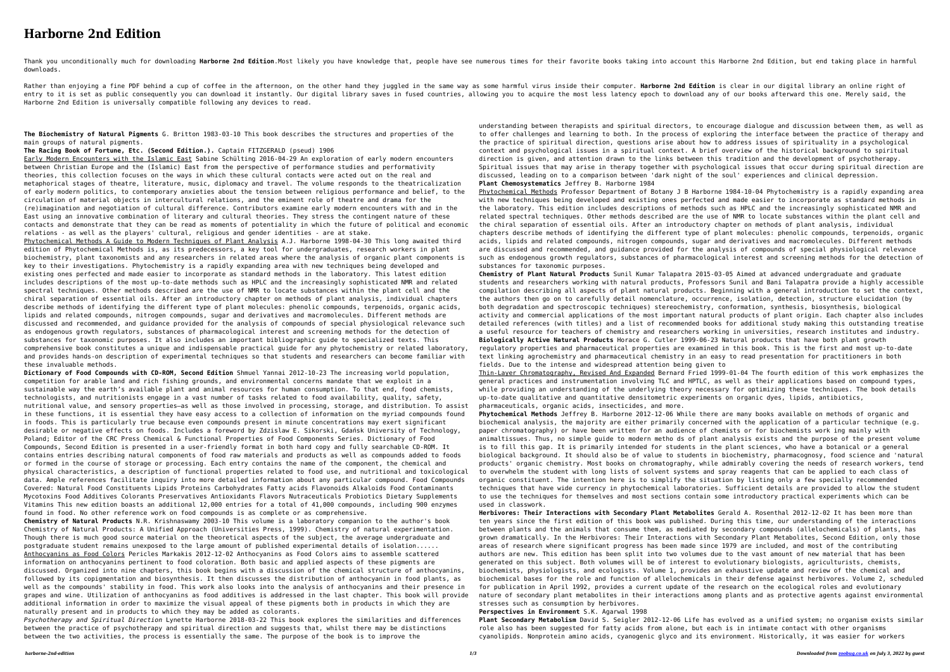## **Harborne 2nd Edition**

Thank you unconditionally much for downloading Harborne 2nd Edition.Most likely you have knowledge that, people have see numerous times for their favorite books taking into account this Harborne 2nd Edition, but end taking downloads.

Rather than enjoying a fine PDF behind a cup of coffee in the afternoon, on the other hand they juggled in the same way as some harmful virus inside their computer. Harborne 2nd Edition is clear in our digital library an o entry to it is set as public consequently you can download it instantly. Our digital library saves in fused countries, allowing you to acquire the most less latency epoch to download any of our books afterward this one. Me Harborne 2nd Edition is universally compatible following any devices to read.

**The Biochemistry of Natural Pigments** G. Britton 1983-03-10 This book describes the structures and properties of the main groups of natural pigments.

**The Racing Book of Fortune, Etc. (Second Edition.).** Captain FITZGERALD (pseud) 1906

Early Modern Encounters with the Islamic East Sabine Schülting 2016-04-29 An exploration of early modern encounters between Christian Europe and the (Islamic) East from the perspective of performance studies and performativity theories, this collection focuses on the ways in which these cultural contacts were acted out on the real and metaphorical stages of theatre, literature, music, diplomacy and travel. The volume responds to the theatricalization of early modern politics, to contemporary anxieties about the tension between religious performance and belief, to the circulation of material objects in intercultural relations, and the eminent role of theatre and drama for the (re)imagination and negotiation of cultural difference. Contributors examine early modern encounters with and in the East using an innovative combination of literary and cultural theories. They stress the contingent nature of these contacts and demonstrate that they can be read as moments of potentiality in which the future of political and economic relations - as well as the players' cultural, religious and gender identities - are at stake. Phytochemical Methods A Guide to Modern Techniques of Plant Analysis A.J. Harborne 1998-04-30 This long awaited third edition of Phytochemical Methods is, as its predecessors, a key tool for undergraduates, research workers in plant

biochemistry, plant taxonomists and any researchers in related areas where the analysis of organic plant components is key to their investigations. Phytochemistry is a rapidly expanding area with new techniques being developed and existing ones perfected and made easier to incorporate as standard methods in the laboratory. This latest edition includes descriptions of the most up-to-date methods such as HPLC and the increasingly sophisticated NMR and related spectral techniques. Other methods described are the use of NMR to locate substances within the plant cell and the chiral separation of essential oils. After an introductory chapter on methods of plant analysis, individual chapters describe methods of identifying the different type of plant molecules: phenolic compounds, terpenoids, organic acids, lipids and related compounds, nitrogen compounds, sugar and derivatives and macromolecules. Different methods are discussed and recommended, and guidance provided for the analysis of compounds of special physiological relevance such as endogenous growth regulators, substances of pharmacological interest and screening methods for the detection of substances for taxonomic purposes. It also includes an important bibliographic guide to specialized texts. This comprehensive book constitutes a unique and indispensable practical guide for any phytochemistry or related laboratory, and provides hands-on description of experimental techniques so that students and researchers can become familiar with these invaluable methods.

Phytochemical Methods Professor Department of Botany J B Harborne 1984-10-04 Phytochemistry is a rapidly expanding area with new techniques being developed and existing ones perfected and made easier to incorporate as standard methods in the laboratory. This edition includes descriptions of methods such as HPLC and the increasingly sophisticated NMR and related spectral techniques. Other methods described are the use of NMR to locate substances within the plant cell and the chiral separation of essential oils. After an introductory chapter on methods of plant analysis, individual chapters describe methods of identifying the different type of plant molecules: phenolic compounds, terpenoids, organic acids, lipids and related compounds, nitrogen compounds, sugar and derivatives and macromolecules. Different methods are discussed and recommended, and guidance provided for the analysis of compounds of special physiological relevance such as endogenous growth regulators, substances of pharmacological interest and screening methods for the detection of substances for taxonomic purposes.

**Dictionary of Food Compounds with CD-ROM, Second Edition** Shmuel Yannai 2012-10-23 The increasing world population, competition for arable land and rich fishing grounds, and environmental concerns mandate that we exploit in a sustainable way the earth's available plant and animal resources for human consumption. To that end, food chemists, technologists, and nutritionists engage in a vast number of tasks related to food availability, quality, safety, nutritional value, and sensory properties—as well as those involved in processing, storage, and distribution. To assist in these functions, it is essential they have easy access to a collection of information on the myriad compounds found in foods. This is particularly true because even compounds present in minute concentrations may exert significant desirable or negative effects on foods. Includes a foreword by Zdzislaw E. Sikorski, Gdańsk University of Technology, Poland; Editor of the CRC Press Chemical & Functional Properties of Food Components Series. Dictionary of Food Compounds, Second Edition is presented in a user-friendly format in both hard copy and fully searchable CD-ROM. It contains entries describing natural components of food raw materials and products as well as compounds added to foods or formed in the course of storage or processing. Each entry contains the name of the component, the chemical and physical characteristics, a description of functional properties related to food use, and nutritional and toxicological data. Ample references facilitate inquiry into more detailed information about any particular compound. Food Compounds Covered: Natural Food Constituents Lipids Proteins Carbohydrates Fatty acids Flavonoids Alkaloids Food Contaminants Mycotoxins Food Additives Colorants Preservatives Antioxidants Flavors Nutraceuticals Probiotics Dietary Supplements Vitamins This new edition boasts an additional 12,000 entries for a total of 41,000 compounds, including 900 enzymes found in food. No other reference work on food compounds is as complete or as comprehensive.

**Chemistry of Natural Products** N.R. Krishnaswamy 2003-10 This volume is a laboratory companion to the author's book Chemistry of Natural Products: A Unified Approach (Universities Press, 1999). Chemistry of natural experimentation. Though there is much good source material on the theoretical aspects of the subject, the average undergraduate and postgraduate student remains unexposed to the large amount of published experimental details of isolation...... Anthocyanins as Food Colors Pericles Markakis 2012-12-02 Anthocyanins as Food Colors aims to assemble scattered information on anthocyanins pertinent to food coloration. Both basic and applied aspects of these pigments are discussed. Organized into nine chapters, this book begins with a discussion of the chemical structure of anthocyanins, followed by its copigmentation and biosynthesis. It then discusses the distribution of anthocyanin in food plants, as well as the compounds' stability in food. This work also looks into the analysis of anthocyanins and their presence in grapes and wine. Utilization of anthocyanins as food additives is addressed in the last chapter. This book will provide additional information in order to maximize the visual appeal of these pigments both in products in which they are naturally present and in products to which they may be added as colorants.

*Psychotherapy and Spiritual Direction* Lynette Harborne 2018-03-22 This book explores the similarities and differences between the practice of psychotherapy and spiritual direction and suggests that, whilst there may be distinctions between the two activities, the process is essentially the same. The purpose of the book is to improve the

understanding between therapists and spiritual directors, to encourage dialogue and discussion between them, as well as to offer challenges and learning to both. In the process of exploring the interface between the practice of therapy and the practice of spiritual direction, questions arise about how to address issues of spirituality in a psychological context and psychological issues in a spiritual context. A brief overview of the historical background to spiritual direction is given, and attention drawn to the links between this tradition and the development of psychotherapy. Spiritual issues that may arise in therapy together with psychological issues that occur during spiritual direction are discussed, leading on to a comparison between 'dark night of the soul' experiences and clinical depression. **Plant Chemosystematics** Jeffrey B. Harborne 1984

**Chemistry of Plant Natural Products** Sunil Kumar Talapatra 2015-03-05 Aimed at advanced undergraduate and graduate students and researchers working with natural products, Professors Sunil and Bani Talapatra provide a highly accessible compilation describing all aspects of plant natural products. Beginning with a general introduction to set the context, the authors then go on to carefully detail nomenclature, occurrence, isolation, detection, structure elucidation (by both degradation and spectroscopic techniques) stereochemistry, conformation, synthesis, biosynthesis, biological activity and commercial applications of the most important natural products of plant origin. Each chapter also includes detailed references (with titles) and a list of recommended books for additional study making this outstanding treatise a useful resource for teachers of chemistry and researchers working in universities, research institutes and industry. **Biologically Active Natural Products** Horace G. Cutler 1999-06-23 Natural products that have both plant growth regulatory properties and pharmaceutical properties are examined in this book. This is the first and most up-to-date text linking agrochemistry and pharmaceutical chemistry in an easy to read presentation for practitioners in both fields. Due to the intense and widespread attention being given to

Thin-Layer Chromatography, Revised And Expanded Bernard Fried 1999-01-04 The fourth edition of this work emphasizes the general practices and instrumentation involving TLC and HPTLC, as well as their applications based on compound types, while providing an understanding of the underlying theory necessary for optimizing these techniques. The book details up-to-date qualitative and quantitative densitometric experiments on organic dyes, lipids, antibiotics, pharmaceuticals, organic acids, insecticides, and more.

**Phytochemical Methods** Jeffrey B. Harborne 2012-12-06 While there are many books available on methods of organic and biochemical analysis, the majority are either primarily concerned with the application of a particular technique (e.g. paper chromatography) or have been written for an audience of chemists or for biochemists work ing mainly with animaltissues. Thus, no simple guide to modern metho ds of plant analysis exists and the purpose of the present volume is to fill this gap. It is primarily intended for students in the plant sciences, who have a botanical or a general biological background. It should also be of value to students in biochemistry, pharmacognosy, food science and 'natural products' organic chemistry. Most books on chromatography, while admirably covering the needs of research workers, tend to overwhelm the student with long lists of solvent systems and spray reagents that can be applied to each class of organic constituent. The intention here is to simplify the situation by listing only a few specially recommended techniques that have wide currency in phytochemical laboratories. Sufficient details are provided to allow the student to use the techniques for themselves and most sections contain some introductory practical experiments which can be used in classwork.

**Herbivores: Their Interactions with Secondary Plant Metabolites** Gerald A. Rosenthal 2012-12-02 It has been more than ten years since the first edition of this book was published. During this time, our understanding of the interactions between plants and the animals that consume them, as mediated by secondary compounds (allelochemicals) of plants, has grown dramatically. In the Herbivores: Their Interactions with Secondary Plant Metabolites, Second Edition, only those areas of research where significant progress has been made since 1979 are included, and most of the contributing authors are new. This edition has been split into two volumes due to the vast amount of new material that has been generated on this subject. Both volumes will be of interest to evolutionary biologists, agriculturists, chemists, biochemists, physiologists, and ecologists. Volume 1, provides an exhaustive update and review of the chemical and biochemical bases for the role and function of allelochemicals in their defense against herbivores. Volume 2, scheduled for publication in April 1992, provides a current update of the research on the ecological roles and evolutionary nature of secondary plant metabolites in their interactions among plants and as protective agents against environmental stresses such as consumption by herbivores.

**Perspectives in Environment** S.K. Agarwal 1998

**Plant Secondary Metabolism** David S. Seigler 2012-12-06 Life has evolved as a unified system; no organism exists similar role also has been suggested for fatty acids from alone, but each is in intimate contact with other organisms cyanolipids. Nonprotein amino acids, cyanogenic glyco and its environment. Historically, it was easier for workers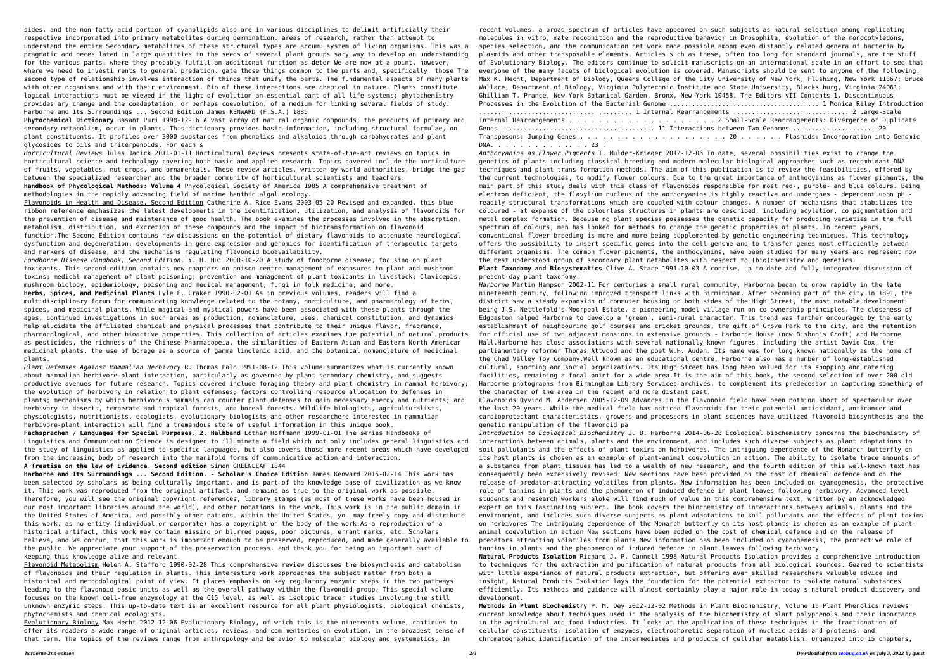sides, and the non-fatty-acid portion of cyanolipids also are in various disciplines to delimit artificially their respective incorporated into primary metabolites during germination. areas of research, rather than attempt to understand the entire Secondary metabolites of these structural types are accumu system of living organisms. This was a pragmatic and neces lated in large quantities in the seeds of several plant groups sary way to develop an understanding for the various parts. where they probably fulfill an additional function as deter We are now at a point, however, where we need to investi rents to general predation. gate those things common to the parts and, specifically, those The second type of relationship involves interaction of things that unify the parts. The fundamental aspects of many plants with other organisms and with their environment. Bio of these interactions are chemical in nature. Plants constitute logical interactions must be viewed in the light of evolution an essential part of all life systems; phytochemistry provides ary change and the coadaptation, or perhaps coevolution, of a medium for linking several fields of study. Harborne and Its Surroundings ... Second Edition James KENWARD (F.S.A.) 1885

**Phytochemical Dictionary** Basant Puri 1998-12-16 A vast array of natural organic compounds, the products of primary and secondary metabolism, occur in plants. This dictionary provides basic information, including structural formulae, on plant constituents. It profiles over 3000 substances from phenolics and alkaloids through carbohydrates and plant glycosides to oils and triterpenoids. For each s

*Horticultural Reviews* Jules Janick 2011-01-11 Horticultural Reviews presents state-of-the-art reviews on topics in horticultural science and technology covering both basic and applied research. Topics covered include the horticulture of fruits, vegetables, nut crops, and ornamentals. These review articles, written by world authorities, bridge the gap between the specialized researcher and the broader community of horticultural scientists and teachers. **Handbook of Phycological Methods: Volume 4** Phycological Society of America 1985 A comprehensive treatment of methodologies in the rapidly advancing field of marine benthic algal ecology.

Flavonoids in Health and Disease, Second Edition Catherine A. Rice-Evans 2003-05-20 Revised and expanded, this blueribbon reference emphasizes the latest developments in the identification, utilization, and analysis of flavonoids for the prevention of disease and maintenance of good health. The book examines the processes involved in the absorption, metabolism, distribution, and excretion of these compounds and the impact of biotransformation on flavonoid function.The Second Edition contains new discussions on the potential of dietary flavonoids to attenuate neurological dysfunction and degeneration, developments in gene expression and genomics for identification of therapeutic targets and markers of disease, and the mechanisms regulating flavonoid bioavailability.

*Foodborne Disease Handbook, Second Edition,* Y. H. Hui 2000-10-20 A study of foodborne disease, focusing on plant toxicants. This second edition contains new chapters on poison centre management of exposures to plant and mushroom toxins; medical management of plant poisoning; prevention and management of plant toxicants in livestock; Clavicepis; mushroom biology, epidemiology, poisoning and medical management; fungi in folk medicine; and more.

**Herbs, Spices, and Medicinal Plants** Lyle E. Craker 1990-02-01 As in previous volumes, readers will find a multidisciplinary forum for communicating knowledge related to the botany, horticulture, and pharmacology of herbs, spices, and medicinal plants. While magical and mystical powers have been associated with these plants through the ages, continued investigations in such areas as production, nomenclature, uses, chemical constitution, and dynamics help elucidate the affiliated chemical and physical processes that contribute to their unique flavor, fragrance, pharmacological, and other bioactive properties. This collection of articles examines the potential of natural products as pesticides, the richness of the Chinese Pharmacopeia, the similarities of Eastern Asian and Eastern North American medicinal plants, the use of borage as a source of gamma linolenic acid, and the botanical nomenclature of medicinal plants.

*Plant Defenses Against Mammalian Herbivory* R. Thomas Palo 1991-08-12 This volume summarizes what is currently known about mammalian herbivore-plant interaction, particularly as governed by plant secondary chemistry, and suggests productive avenues for future research. Topics covered include foraging theory and plant chemistry in mammal herbivory; the evolution of herbivory in relation to plant defenses; factors controlling resource allocation to defenses in plants; mechanisms by which herbivorous mammals can counter plant defenses to gain necessary energy and nutrients; and herbivory in deserts, temperate and tropical forests, and boreal forests. Wildlife biologists, agriculturalists, physiologists, nutritionists, ecologists, evolutionary biologists and other researchers interested in mammalian herbivore-plant interaction will find a tremendous store of useful information in this unique book.

**Fachsprachen / Languages for Special Purposes. 2. Halbband** Lothar Hoffmann 1999-01-01 The series Handbooks of Linguistics and Communication Science is designed to illuminate a field which not only includes general linguistics and the study of linguistics as applied to specific languages, but also covers those more recent areas which have developed from the increasing body of research into the manifold forms of communicative action and interaction. **A Treatise on the law of Evidence. Second edition** Simon GREENLEAF 1844

**Harborne and Its Surroundings ... Second Edition. - Scholar's Choice Edition** James Kenward 2015-02-14 This work has been selected by scholars as being culturally important, and is part of the knowledge base of civilization as we know it. This work was reproduced from the original artifact, and remains as true to the original work as possible. Therefore, you will see the original copyright references, library stamps (as most of these works have been housed in our most important libraries around the world), and other notations in the work. This work is in the public domain in the United States of America, and possibly other nations. Within the United States, you may freely copy and distribute this work, as no entity (individual or corporate) has a copyright on the body of the work.As a reproduction of a historical artifact, this work may contain missing or blurred pages, poor pictures, errant marks, etc. Scholars believe, and we concur, that this work is important enough to be preserved, reproduced, and made generally available to the public. We appreciate your support of the preservation process, and thank you for being an important part of keeping this knowledge alive and relevant.

Flavonoid Metabolism Helen A. Stafford 1990-02-28 This comprehensive review discusses the biosynthesis and catabolism of flavonoids and their regulation in plants. This interesting work approaches the subject matter from both a historical and methodological point of view. It places emphasis on key regulatory enzymic steps in the two pathways leading to the flavonoid basic units as well as the overall pathway within the flavonoid group. This special volume focuses on the known cell-free enzymology at the C15 level, as well as isotopic tracer studies involving the still unknown enzymic steps. This up-to-date text is an excellent resource for all plant physiologists, biological chemists, phytochemists and chemical ecologists.

Evolutionary Biology Max Hecht 2012-12-06 Evolutionary Biology, of which this is the nineteenth volume, continues to offer its readers a wide range of original articles, reviews, and com mentaries on evolution, in the broadest sense of that term. The topics of the reviews range from anthropology and behavior to molecular biology and systematics. In

recent volumes, a broad spectrum of articles have appeared on such subjects as natural selection among replicating molecules in vitro, mate recognition and the reproductive behavior in Drosophila, evolution of the monocotyledons, species selection, and the communication net work made possible among even distantly related genera of bacteria by plasmids and other transposable elements. Articles such as these, often too long for standard journals, are the stuff of Evolutionary Biology. The editors continue to solicit manuscripts on an international scale in an effort to see that everyone of the many facets of biological evolution is covered. Manuscripts should be sent to anyone of the following: Max K. Hecht, Department of Biology, Queens College of the City University of New York, Flushing, New York 11367; Bruce Wallace, Department of Biology, Virginia Polytechnic Institute and State University, Blacks burg, Virginia 24061; Ghillian T. Prance, New York Botanical Garden, Bronx, New York 10458. The Editors vII Contents 1. Discontinuous Processes in the Evolution of the Bacterial Genome ........................................ 1 Monica Riley Introduction ............................... ,........ 1 Internal Rearrangements ............................... 2 Large-Scale Internal Rearrangements . . . . . . . . . . . . . . . . . . . . 2 Small-Scale Rearrangements: Divergence of Duplicate Genes ......................................... 11 Interactions between Two Genomes ...................... 20 Transposons: Jumping Genes . . . . . . . . . . . . . . . . . . . . 20 . . . . . . Plasmids: Incorporation into Genomic DNA. . . . . . . . . . .. . . 23 .

*Anthocyanins as Flower Pigments* T. Mulder-Krieger 2012-12-06 To date, several possibilities exist to change the genetics of plants including classical breeding and modern molecular biological approaches such as recombinant DNA techniques and plant trans formation methods. The aim of this publication is to review the feasibilities, offered by the current technologies, to modify flower colours. Due to the great importance of anthocyanins as flower pigments, the main part of this study deals with this class of flavonoids responsible for most red-, purple- and blue colours. Being electron deficient, the flavylium nucleus of the anthocyanins is highly reactive and undergoes - dependent upon pH readily structural transformations which are coupled with colour changes. A number of mechanisms that stabilizes the coloured - at expense of the colourless structures in plants are described, including acylation, co pigmentation and metal complex formation. Because no plant species possesses the genetic capacity for producing varieties in the full spectrum of colours, man has looked for methods to change the genetic properties of plants. In recent years, conventional flower breeding is more and more being supplemented by genetic engineering techniques. This technology offers the possibility to insert specific genes into the cell genome and to transfer genes most efficiently between different organisms. The common flower pigments, the anthocyanins, have been studied for many years and represent now the best understood group of secondary plant metabolites with respect to (bio)chemistry and genetics. **Plant Taxonomy and Biosystematics** Clive A. Stace 1991-10-03 A concise, up-to-date and fully-integrated discussion of present-day plant taxonomy.

*Harborne* Martin Hampson 2002-11 For centuries a small rural community, Harborne began to grow rapidly in the late nineteenth century, following improved transport links with Birmingham. After becoming part of the city in 1891, the district saw a steady expansion of commuter housing on both sides of the High Street, the most notable development being J.S. Nettlefold's Moorpool Estate, a pioneering model village run on co-ownership principles. The closeness of Edgbaston helped Harborne to develop a 'green', semi-rural character. This trend was further encouraged by the early establishment of neighbouring golf courses and cricket grounds, the gift of Grove Park to the city, and the retention for official use of two adjacent mansions in extensive grounds - Harborne House (now Bishop's Croft) and Harborne Hall.Harborne has close associations with several nationally-known figures, including the artist David Cox, the parliamentary reformer Thomas Attwood and the poet W.H. Auden. Its name was for long known nationally as the home of the Chad Valley Toy Company.Well known as an educational centre, Harborne also has a number of long-established cultural, sporting and social organizations. Its High Street has long been valued for its shopping and catering facilities, remaining a focal point for a wide area.It is the aim of this book, the second selection of over 200 old Harborne photographs from Birmingham Library Services archives, to complement its predecessor in capturing something of the character of the area in the recent and more distant past.

Flavonoids Oyvind M. Andersen 2005-12-09 Advances in the flavonoid field have been nothing short of spectacular over the last 20 years. While the medical field has noticed flavonoids for their potential antioxidant, anticancer and cardioprotectant characteristics, growers and processors in plant sciences have utilized flavonoid biosynthesis and the genetic manipulation of the flavonoid pa

*Introduction to Ecological Biochemistry* J. B. Harborne 2014-06-28 Ecological biochemistry concerns the biochemistry of interactions between animals, plants and the environment, and includes such diverse subjects as plant adaptations to soil pollutants and the effects of plant toxins on herbivores. The intriguing dependence of the Monarch butterfly on its host plants is chosen as an example of plant-animal coevolution in action. The ability to isolate trace amounts of a substance from plant tissues has led to a wealth of new research, and the fourth edition of this well-known text has consequently been extensively revised. New sections have been provided on the cost of chemical defence and on the release of predator-attracting volatiles from plants. New information has been included on cyanogenesis, the protective role of tannins in plants and the phenomenon of induced defence in plant leaves following herbivory. Advanced level students and research workers aloke will find much of value in this comprehensive text, written by an acknowledged expert on this fascinating subject. The book covers the biochemistry of interactions between animals, plants and the environment, and includes such diverse subjects as plant adaptations to soil pollutants and the effects of plant toxins on herbivores The intriguing dependence of the Monarch butterfly on its host plants is chosen as an example of plantanimal coevolution in action New sections have been added on the cost of chemical defence and on the release of predators attracting volatiles from plants New information has been included on cyanogenesis, the protective role of tannins in plants and the phenomenon of induced defence in plant leaves following herbivory

**Natural Products Isolation** Richard J. P. Cannell 1998 Natural Products Isolation provides a comprehensive introduction to techniques for the extraction and purification of natural products from all biological sources. Geared to scientists with little experience of natural products extraction, but offering even skilled researchers valuable advice and insight, Natural Products Isolation lays the foundation for the potential extractor to isolate natural substances efficiently. Its methods and guidance will almost certainly play a major role in today's natural product discovery and

development.

**Methods in Plant Biochemistry** P. M. Dey 2012-12-02 Methods in Plant Biochemistry, Volume 1: Plant Phenolics reviews current knowledge about techniques used in the analysis of the biochemistry of plant polyphenols and their importance in the agricultural and food industries. It looks at the application of these techniques in the fractionation of cellular constituents, isolation of enzymes, electrophoretic separation of nucleic acids and proteins, and chromatographic identification of the intermediates and products of cellular metabolism. Organized into 15 chapters,